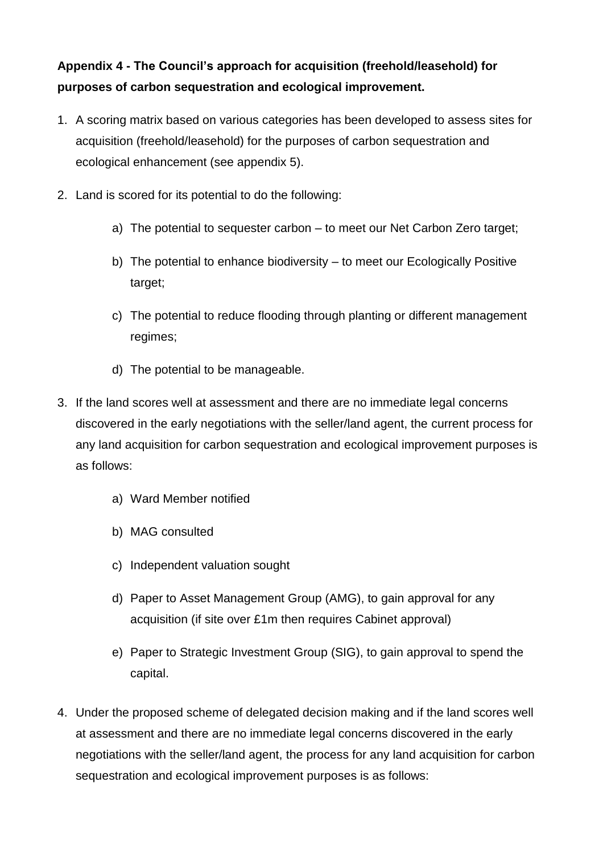## **Appendix 4 - The Council's approach for acquisition (freehold/leasehold) for purposes of carbon sequestration and ecological improvement.**

- 1. A scoring matrix based on various categories has been developed to assess sites for acquisition (freehold/leasehold) for the purposes of carbon sequestration and ecological enhancement (see appendix 5).
- 2. Land is scored for its potential to do the following:
	- a) The potential to sequester carbon to meet our Net Carbon Zero target;
	- b) The potential to enhance biodiversity to meet our Ecologically Positive target;
	- c) The potential to reduce flooding through planting or different management regimes;
	- d) The potential to be manageable.
- 3. If the land scores well at assessment and there are no immediate legal concerns discovered in the early negotiations with the seller/land agent, the current process for any land acquisition for carbon sequestration and ecological improvement purposes is as follows:
	- a) Ward Member notified
	- b) MAG consulted
	- c) Independent valuation sought
	- d) Paper to Asset Management Group (AMG), to gain approval for any acquisition (if site over £1m then requires Cabinet approval)
	- e) Paper to Strategic Investment Group (SIG), to gain approval to spend the capital.
- 4. Under the proposed scheme of delegated decision making and if the land scores well at assessment and there are no immediate legal concerns discovered in the early negotiations with the seller/land agent, the process for any land acquisition for carbon sequestration and ecological improvement purposes is as follows: